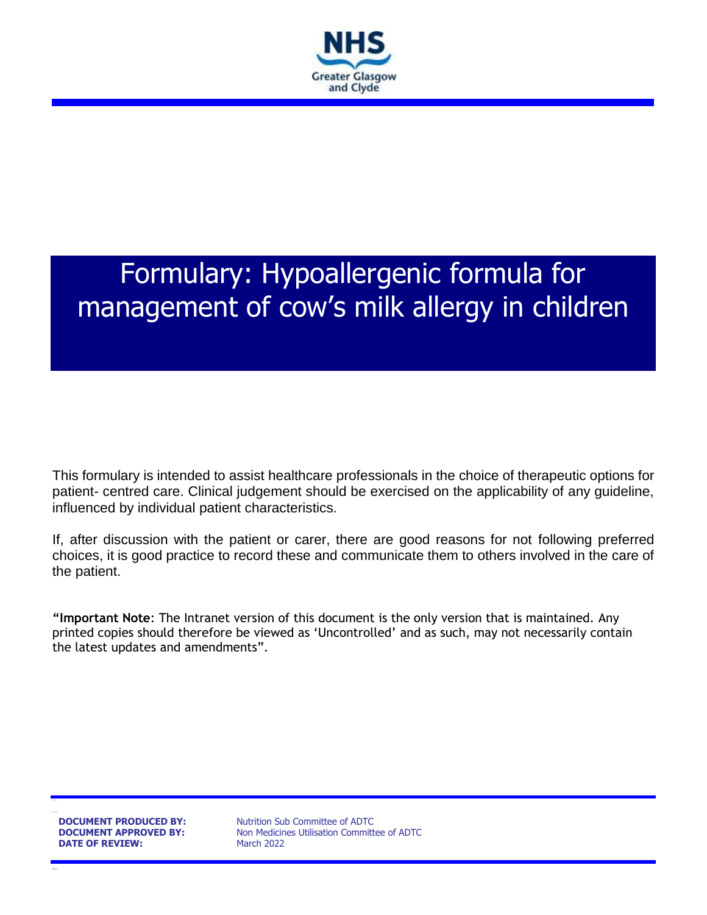

# Formulary: Hypoallergenic formula for management of cow's milk allergy in children

This formulary is intended to assist healthcare professionals in the choice of therapeutic options for patient- centred care. Clinical judgement should be exercised on the applicability of any guideline, influenced by individual patient characteristics.

If, after discussion with the patient or carer, there are good reasons for not following preferred choices, it is good practice to record these and communicate them to others involved in the care of the patient.

**"Important Note**: The Intranet version of this document is the only version that is maintained. Any printed copies should therefore be viewed as 'Uncontrolled' and as such, may not necessarily contain the latest updates and amendments".

**DATE OF REVIEW:** March 2022

**DOCUMENT PRODUCED BY:** Nutrition Sub Committee of ADTC **DOCUMENT APPROVED BY:** Non Medicines Utilisation Committee of ADTC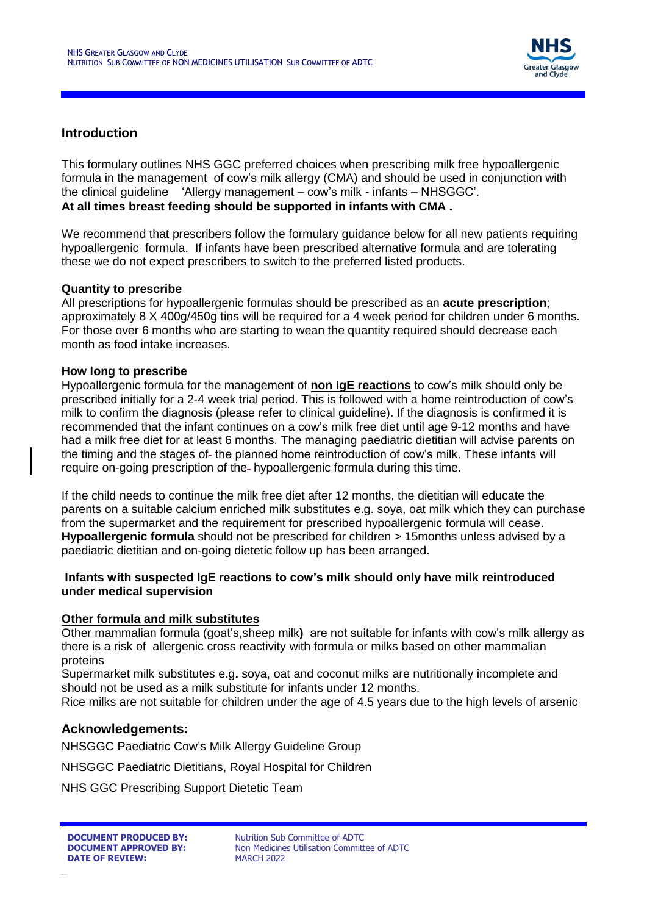

### **Introduction**

This formulary outlines NHS GGC preferred choices when prescribing milk free hypoallergenic formula in the management of cow's milk allergy (CMA) and should be used in conjunction with the clinical guideline 'Allergy management – cow's milk - infants – NHSGGC'. **At all times breast feeding should be supported in infants with CMA .**

We recommend that prescribers follow the formulary guidance below for all new patients requiring hypoallergenic formula. If infants have been prescribed alternative formula and are tolerating these we do not expect prescribers to switch to the preferred listed products.

#### **Quantity to prescribe**

All prescriptions for hypoallergenic formulas should be prescribed as an **acute prescription**; approximately 8 X 400g/450g tins will be required for a 4 week period for children under 6 months. For those over 6 months who are starting to wean the quantity required should decrease each month as food intake increases.

#### **How long to prescribe**

Hypoallergenic formula for the management of **non IgE reactions** to cow's milk should only be prescribed initially for a 2-4 week trial period. This is followed with a home reintroduction of cow's milk to confirm the diagnosis (please refer to clinical guideline). If the diagnosis is confirmed it is recommended that the infant continues on a cow's milk free diet until age 9-12 months and have had a milk free diet for at least 6 months. The managing paediatric dietitian will advise parents on the timing and the stages of-the planned home reintroduction of cow's milk. These infants will require on-going prescription of the hypoallergenic formula during this time.

If the child needs to continue the milk free diet after 12 months, the dietitian will educate the parents on a suitable calcium enriched milk substitutes e.g. soya, oat milk which they can purchase from the supermarket and the requirement for prescribed hypoallergenic formula will cease. **Hypoallergenic formula** should not be prescribed for children > 15months unless advised by a paediatric dietitian and on-going dietetic follow up has been arranged.

#### **Infants with suspected IgE reactions to cow's milk should only have milk reintroduced under medical supervision**

#### **Other formula and milk substitutes**

Other mammalian formula (goat's,sheep milk**)** are not suitable for infants with cow's milk allergy as there is a risk of allergenic cross reactivity with formula or milks based on other mammalian proteins

Supermarket milk substitutes e.g**.** soya, oat and coconut milks are nutritionally incomplete and should not be used as a milk substitute for infants under 12 months.

Rice milks are not suitable for children under the age of 4.5 years due to the high levels of arsenic

#### **Acknowledgements:**

NHSGGC Paediatric Cow's Milk Allergy Guideline Group

NHSGGC Paediatric Dietitians, Royal Hospital for Children

NHS GGC Prescribing Support Dietetic Team